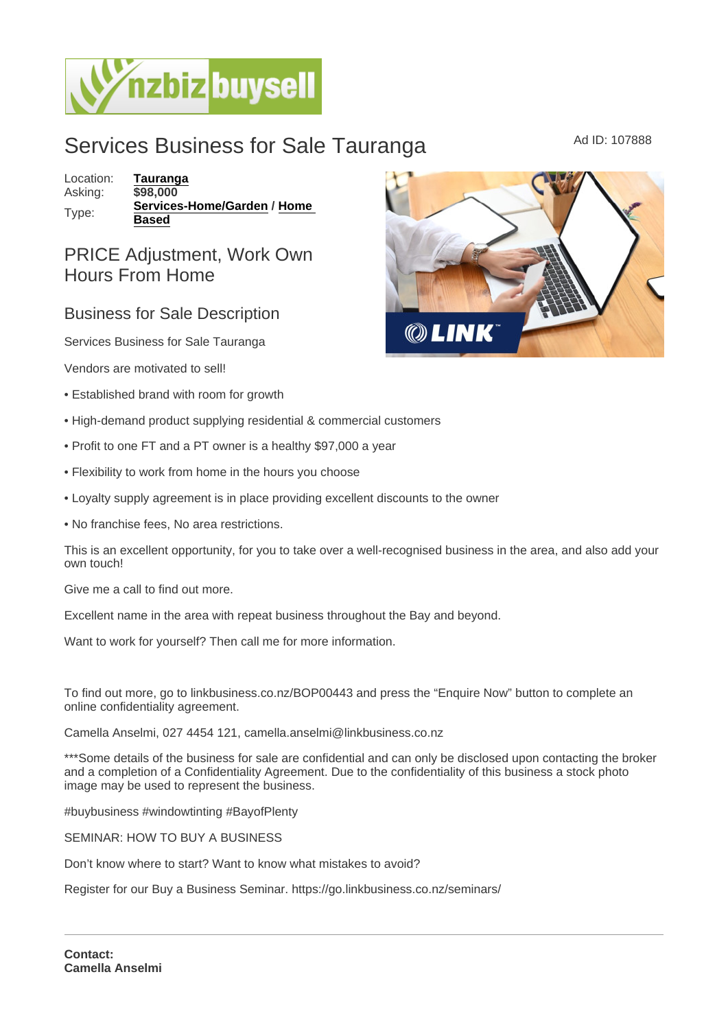## Services Business for Sale Tauranga MADIC Ad ID: 107888

Location: [Tauranga](https://www.nzbizbuysell.co.nz/businesses-for-sale/location/Tauranga) Asking: \$98,000 Type: [Services-Home/Garden](https://www.nzbizbuysell.co.nz/businesses-for-sale/Services-Home--Garden/New-Zealand) / [Home](https://www.nzbizbuysell.co.nz/businesses-for-sale/Home-Based/New-Zealand)  **[Based](https://www.nzbizbuysell.co.nz/businesses-for-sale/Home-Based/New-Zealand)** 

## PRICE Adjustment, Work Own Hours From Home

## Business for Sale Description

Services Business for Sale Tauranga

Vendors are motivated to sell!

- Established brand with room for growth
- High-demand product supplying residential & commercial customers
- Profit to one FT and a PT owner is a healthy \$97,000 a year
- Flexibility to work from home in the hours you choose
- Loyalty supply agreement is in place providing excellent discounts to the owner
- No franchise fees, No area restrictions.

This is an excellent opportunity, for you to take over a well-recognised business in the area, and also add your own touch!

Give me a call to find out more.

Excellent name in the area with repeat business throughout the Bay and beyond.

Want to work for yourself? Then call me for more information.

To find out more, go to linkbusiness.co.nz/BOP00443 and press the "Enquire Now" button to complete an online confidentiality agreement.

Camella Anselmi, 027 4454 121, camella.anselmi@linkbusiness.co.nz

\*\*\*Some details of the business for sale are confidential and can only be disclosed upon contacting the broker and a completion of a Confidentiality Agreement. Due to the confidentiality of this business a stock photo image may be used to represent the business.

#buybusiness #windowtinting #BayofPlenty

SEMINAR: HOW TO BUY A BUSINESS

Don't know where to start? Want to know what mistakes to avoid?

Register for our Buy a Business Seminar. https://go.linkbusiness.co.nz/seminars/